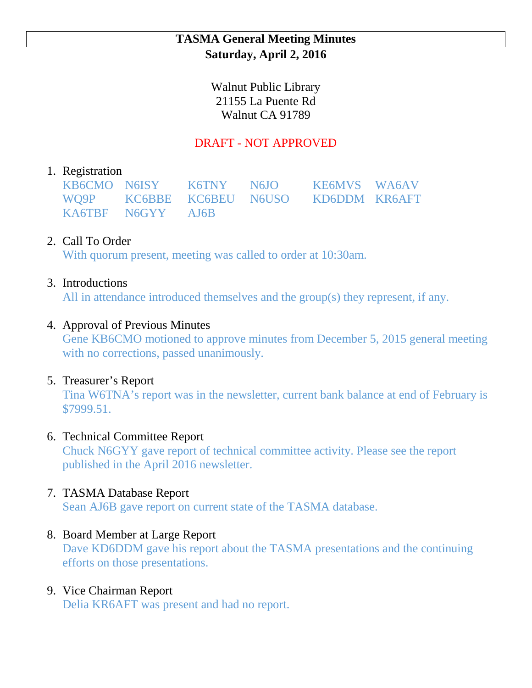### **TASMA General Meeting Minutes Saturday, April 2, 2016**

Walnut Public Library 21155 La Puente Rd Walnut CA 91789

## DRAFT - NOT APPROVED

### 1. Registration

|                   | KB6CMO N6ISY K6TNY N6JO KE6MVS WA6AV   |  |
|-------------------|----------------------------------------|--|
|                   | WO9P KC6BBE KC6BEU N6USO KD6DDM KR6AFT |  |
| KA6TBF N6GYY AJ6B |                                        |  |

# 2. Call To Order

With quorum present, meeting was called to order at 10:30am.

### 3. Introductions

All in attendance introduced themselves and the group(s) they represent, if any.

### 4. Approval of Previous Minutes

Gene KB6CMO motioned to approve minutes from December 5, 2015 general meeting with no corrections, passed unanimously.

#### 5. Treasurer's Report

Tina W6TNA's report was in the newsletter, current bank balance at end of February is \$7999.51.

#### 6. Technical Committee Report

Chuck N6GYY gave report of technical committee activity. Please see the report published in the April 2016 newsletter.

# 7. TASMA Database Report

Sean AJ6B gave report on current state of the TASMA database.

# 8. Board Member at Large Report

Dave KD6DDM gave his report about the TASMA presentations and the continuing efforts on those presentations.

# 9. Vice Chairman Report

Delia KR6AFT was present and had no report.